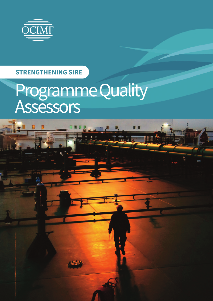

## **STRENGTHENING SIRE**

# Programme Quality Assessors